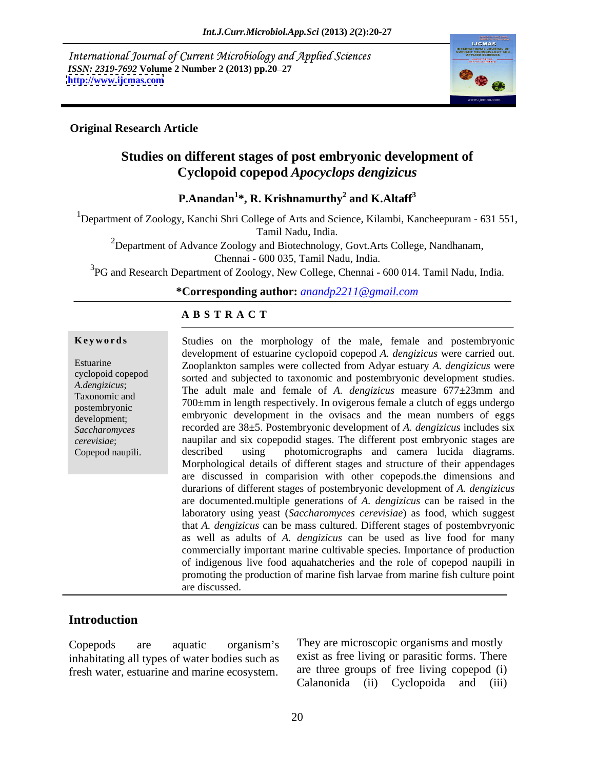International Journal of Current Microbiology and Applied Sciences *ISSN: 2319-7692* **Volume 2 Number 2 (2013) pp.20–27 http://www.ijcmas.com <http://www.ijcmas.com>**



### **Original Research Article**

# **Studies on different stages of post embryonic development of Cyclopoid copepod** *Apocyclops dengizicus*

### **P.Anandan<sup>1</sup> \*, R. Krishnamurthy<sup>2</sup> and K.Altaff<sup>3</sup>**

<sup>1</sup>Department of Zoology, Kanchi Shri College of Arts and Science, Kilambi, Kancheepuram - 631 551, Tamil Nadu, India.

<sup>2</sup>Department of Advance Zoology and Biotechnology, Govt. Arts College, Nandhanam, Chennai - 600 035, Tamil Nadu, India.

<sup>3</sup>PG and Research Department of Zoology, New College, Chennai - 600 014. Tamil Nadu, India.

**\*Corresponding author:** *anandp2211@gmail.com*

### **A B S T R A C T**

**Keywords** Studies on the morphology of the male, female and postembryonic Estuarine Zooplankton samples were collected from Adyar estuary *A. dengizicus* were cyclopoid copepod sorted and subjected to taxonomic and postembryonic development studies. *A.dengizicus*; The adult male and female of *A. dengizicus* measure 677±23mm and Taxonomic and The dout that and female of  $\Lambda$ , and  $\epsilon$  is measure  $\sigma$ ,  $\pm$  25mm and  $700 \pm$ mm in length respectively. In ovigerous female a clutch of eggs undergo postembryonic posterior communities in the process of the contract of experimental posterior of experimental experimental experimental experimental experimental experimental experimental experimental experimental experimen development; embryonic development in the ovisacs and the mean numbers of eggs Saccharomyces recorded are 38±5. Postembryonic development of *A. dengizicus* includes six *cerevisiae*; naupilar and six copepodid stages. The different post embryonic stages are **Keywords**<br>
Studies on the morphology of the male, female and postembryonic<br>
development of estuarine cyclopoid copepod A. dengizicus were carried out.<br>
Zooplankton samples were collected from Adyar estuary A. dengizicus development of estuarine cyclopoid copepod *A. dengizicus* were carried out. described using photomicrographs and camera lucida diagrams. Morphological details of different stages and structure of their appendages are discussed in comparision with other copepods.the dimensions and durarions of different stages of postembryonic developmentof *A. dengizicus* are documented.multiple generations of *A. dengizicus* can be raised in the laboratory using yeast (*Saccharomyces cerevisiae*) as food, which suggest that *A. dengizicus* can be mass cultured. Different stages of postembvryonic as well as adults of *A. dengizicus* can be used as live food for many commercially important marine cultivable species. Importance of production of indigenous live food aquahatcheries and the role of copepod naupili in promoting the production of marine fish larvae from marine fish culture point are discussed.

### **Introduction**

inhabitating all types of water bodies such as

Copepods are aquatic organism's They are microscopic organisms and mostly fresh water, estuarine and marine ecosystem. are three groups of free living copepod (i)<br>Calanonida (ii) Cyclopoida and (iii) They are microscopic organisms and mostly exist as free living or parasitic forms. There are three groups of free living copepod (i) Calanonida (ii) Cyclopoida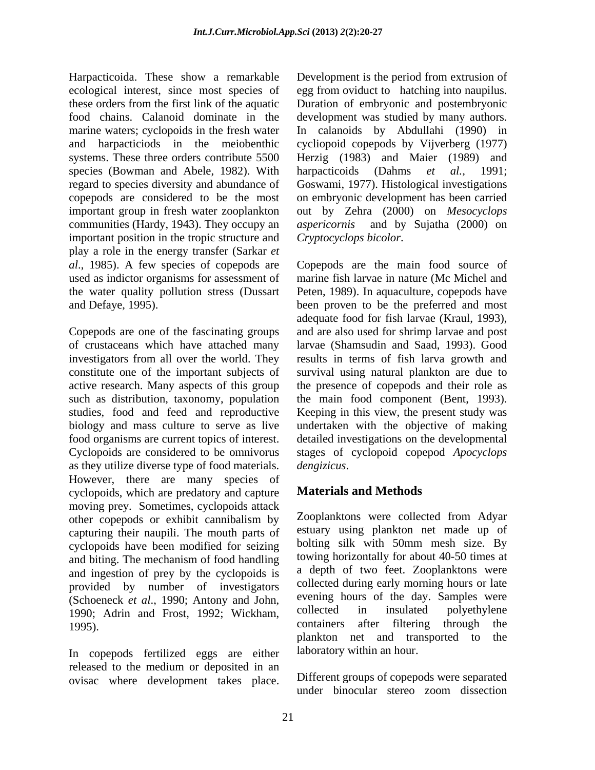Harpacticoida. These show a remarkable Development is the period from extrusion of species (Bowman and Abele, 1982). With harpacticoids (Dahms et al., 1991; communities (Hardy, 1943). They occupy an *aspericornis* important position in the tropic structure and play a role in the energy transfer (Sarkar *et al*., 1985). A few species of copepods are

of crustaceans which have attached many as they utilize diverse type of food materials. *dengizicus*. However, there are many species of<br>cyclopoids which are predatory and capture **Materials and Methods** cyclopoids, which are predatory and capture moving prey. Sometimes, cyclopoids attack other copepods or exhibit cannibalism by capturing their naupili. The mouth parts of cyclopoids have been modified for seizing and biting. The mechanism of food handling and ingestion of prey by the cyclopoids is provided by number of investigators (Schoeneck *et al.*, 1990; Antony and John, evening hours of the day. Samples were<br>1990: Adrin and Frost 1992: Wickham collected in insulated polyethylene Happarisch. These Abows a remarkable Development is the period from extrusion of<br>Findingo and the finite of the period from extreme in the period from extreme takes place. Does the<br>taxe coloring the main taxe of the period

In copepods fertilized eggs are either released to the medium or deposited in an

ecological interest, since most species of egg from oviduct to hatching into naupilus. these orders from the first link of the aquatic Duration of embryonic and postembryonic food chains. Calanoid dominate in the development was studied by many authors. marine waters; cyclopoids in the fresh water In calanoids by Abdullahi (1990) in and harpacticiods in the meiobenthic cycliopoid copepods by Vijverberg (1977) systems. These three orders contribute 5500 Herzig (1983) and Maier (1989) and regard to species diversity and abundance of Goswami, 1977). Histological investigations copepods are considered to be the most on embryonic development has been carried important group in fresh water zooplankton out by Zehra (2000) on *Mesocyclops* harpacticoids (Dahms *et al.,* 1991; and by Sujatha (2000) on *Cryptocyclops bicolor*.

used as indictor organisms for assessment of marine fish larvae in nature (Mc Michel and the water quality pollution stress (Dussart Peten, 1989). In aquaculture, copepods have and Defaye, 1995). been proven to be the preferred and most Copepods are one of the fascinating groups and are also used for shrimp larvae and post investigators from all over the world. They results in terms of fish larva growth and constitute one of the important subjects of survival using natural plankton are due to active research. Many aspects of this group the presence of copepods and their role as such as distribution, taxonomy, population the main food component (Bent, 1993). studies, food and feed and reproductive Keeping in this view, the present study was biology and mass culture to serve as live undertaken with the objective of making food organisms are current topics of interest. detailed investigations on the developmental Cyclopoids are considered to be omnivorus stages of cyclopoid copepod *Apocyclops*  Copepods are the main food source of adequate food for fish larvae (Kraul, 1993), larvae (Shamsudin and Saad, 1993). Good *dengizicus*.

# **Materials and Methods**

1990; Adrin and Frost, 1992; Wickham, collected in insulated polyethylene containers after filtering through the Zooplanktons were collected from Adyar estuary using plankton net made up of bolting silk with 50mm mesh size. By towing horizontally for about 40-50 times at a depth of two feet. Zooplanktons were collected during early morning hours or late evening hours of the day. Samples were collected in insulated polyethylene containers after filtering through the plankton net and transported to the laboratory within an hour.

> Different groups of copepods were separated<br>under binocular stereo zoom dissection under binocular stereo zoom dissection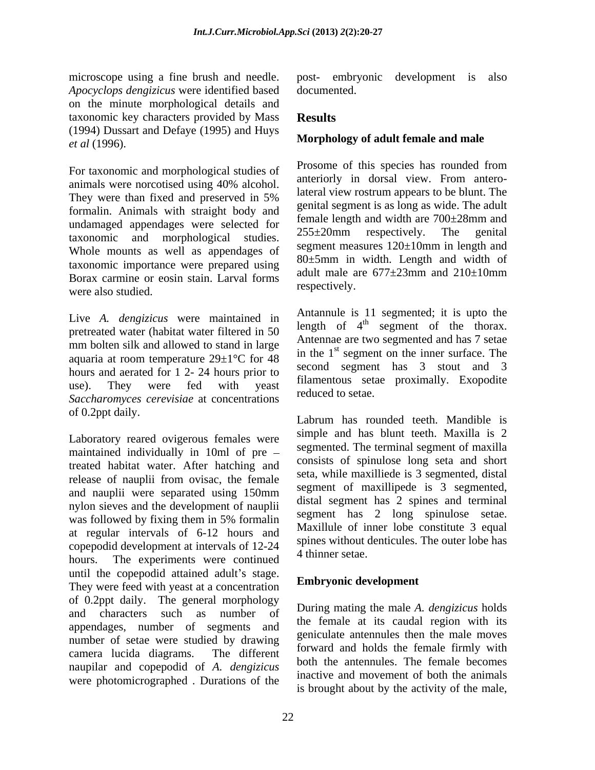*Apocyclops dengizicus* were identified based on the minute morphological details and taxonomic key characters provided by Mass (1994) Dussart and Defaye (1995) and Huys *et al* (1996). **Morphology of adult female and male**

For taxonomic and morphological studies of They were than fixed and preserved in 5% formalin. Animals with straight body and undamaged appendages were selected for  $255 \pm 20$ mm respectively. The genital taxonomic and morphological studies. Whole mounts as well as appendages of taxonomic importance were prepared using  $\frac{80 \pm 5 \text{ min}}{\text{adult male are } 677 \pm 23 \text{ mm}}$  and 210 $\pm$ 10mm Borax carmine or eosin stain. Larval forms about the a were also studied. The respectively.

Live *A. dengizicus* were maintained in pretreated water (habitat water filtered in 50 mm bolten silk and allowed to stand in large aquaria at room temperature  $29 \pm 1^{\circ}$ C for 48 hours and aerated for 1 2- 24 hours prior to use). They were fed with yeast maintenous set a proximally. Exopoune *Saccharomyces cerevisiae* at concentrations of 0.2ppt daily.

Laboratory reared ovigerous females were maintained individually in 10ml of pre treated habitat water. After hatching and release of nauplii from ovisac, the female and nauplii were separated using 150mm nylon sieves and the development of nauplii was followed by fixing them in 5% formalin at regular intervals of 6-12 hours and copepodid development at intervals of  $12-24$  spines without hours. The experiments were continued until the copepodid attained adult's stage. They were feed with yeast at a concentration of 0.2ppt daily. The general morphology and characters such as number of  $\frac{D_{\text{turning} \text{main}}}{\text{the f.} \text{time}}$  and  $\frac{A_{\text{turning} \text{main}}}{\text{time}}$ appendages, number of segments and number of setae were studied by drawing camera lucida diagrams. The different  $\frac{101 \text{ wall}}{1 \text{ cell}}$  and notes the remain finity with naupilar and copepodid of *A. dengizicus* were photomicrographed . Durations of the

microscope using a fine brush and needle. post- embryonic development is also post- embryonic development is also documented.

## **Results**

animals were norcotised using  $40\%$  alcohol.  $\frac{a}{1+a}$  is the dotsal view. From antero-Prosome of this species has rounded from anteriorly in dorsal view. From anterolateral view rostrum appears to be blunt. The genital segment is as long as wide. The adult female length and width are 700±28mm and 255±20mm respectively. The genital segment measures 120±10mm in length and 80±5mm in width. Length and width of adult male are  $677\pm23$ mm and  $210\pm10$ mm respectively.

> Antannule is 11 segmented; it is upto the length of  $4^{\text{th}}$  segment of the thorax. Antennae are two segmented and has 7 setae in the  $1<sup>st</sup>$  segment on the inner surface. The second segment has 3 stout and 3 filamentous setae proximally. Exopodite reduced to setae.

Labrum has rounded teeth. Mandible is simple and has blunt teeth. Maxilla is 2 segmented. The terminal segment of maxilla consists of spinulose long seta and short seta, while maxilliede is 3 segmented, distal segment of maxillipede is 3 segmented, distal segment has 2 spines and terminal segment has 2 long spinulose setae. Maxillule of inner lobe constitute 3 equal spines without denticules. The outer lobe has 4 thinner setae.

### **Embryonic development**

During mating the male *A. dengizicus* holds the female at its caudal region with its geniculate antennules then the male moves forward and holds the female firmly with both the antennules. The female becomes inactive and movement of both the animals is brought about by the activity of the male,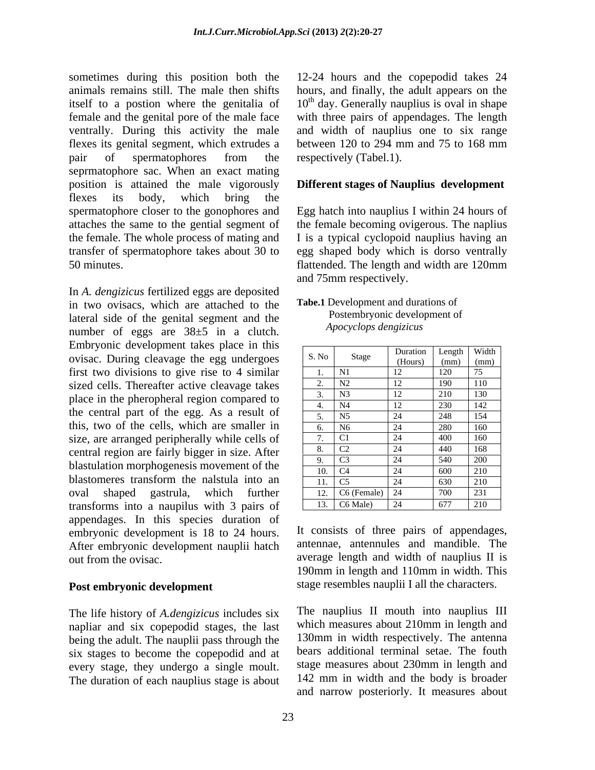sometimes during this position both the 12-24 hours and the copepodid takes 24 animals remains still. The male then shifts hours, and finally, the adult appears on the itself to a postion where the genitalia of  $10<sup>th</sup>$  day. Generally nauplius is oval in shape female and the genital pore of the male face with three pairs of appendages. The length ventrally. During this activity the male and width of nauplius one to six range flexes its genital segment, which extrudes a between 120 to 294 mm and 75 to 168 mm pair of spermatophores from the respectively (Tabel.1). pair of spermatophores from the respectively (Tabel.1). seprmatophore sac. When an exact mating position is attained the male vigorously **Different stages of Nauplius development** flexes its body, which bring the spermatophore closer to the gonophores and Egg hatch into nauplius I within 24 hours of attaches the same to the gential segment of the female becoming ovigerous. The naplius the female. The whole process of mating and I is a typical cyclopoid nauplius having an transfer of spermatophore takes about 30 to egg shaped body which is dorso ventrally 50 minutes. flattended. The length and width are 120mm

In *A. dengizicus* fertilized eggs are deposited in two ovisacs, which are attached to the lateral side of the genital segment and the<br> *Apocyclops dengizicus*<br> *Apocyclops dengizicus* number of eggs are 38±5 in a clutch. Embryonic development takes place in this ovisac. During cleavage the egg undergoes first two divisions to give rise to 4 similar sized cells. Thereafter active cleavage takes place in the pheropheral region compared to the central part of the egg. As a result of this, two of the cells, which are smaller in size, are arranged peripherally while cells of central region are fairly bigger in size. After blastulation morphogenesis movement of the blastomeres transform the nalstula into an oval shaped gastrula, which further 12. C6 (Female) 24 700 231 transforms into a naupilus with 3 pairs of appendages. In this species duration of embryonic development is 18 to 24 hours. After embryonic development nauplii hatch<br>out from the ovisac. out from the ovisac. average length and width of nauplius II is

### **Post embryonic development**

The life history of *A.dengizicus* includes six napliar and six copepodid stages, the last being the adult. The nauplii pass through the six stages to become the copepodid and at every stage, they undergo a single moult. The duration of each nauplius stage is about

between 120 to 294 mm and 75 to 168 mm respectively (Tabel.1).

and 75mm respectively.

### **Tabe.1** Development and durations of Postembryonic development of *Apocyclops dengizicus*

| S. No                              | Stage                  | Duration                    | Length      | Width                        |
|------------------------------------|------------------------|-----------------------------|-------------|------------------------------|
|                                    |                        | (Hours)                     | (mm)        | (mm)                         |
| .                                  | N1                     | 12<br>$\perp$               | 120<br>∠∪   | $\overline{a}$<br>$\sqrt{2}$ |
| $\sim$<br>$\overline{\phantom{a}}$ | N2                     | 12                          | 190         | 110                          |
| $\sim$<br>. ب                      | N3                     | 12<br>$\perp$               | 0.10<br>∠⊥∪ | $\overline{130}$             |
| ⊶.                                 | N <sub>4</sub>         | 12<br>$\perp$               | 230         | 142                          |
| ູ.                                 | N <sub>5</sub>         | $\bigcap$ $\bigcap$<br>∠∸   | 248         | 154                          |
| O.                                 | $\overline{N6}$        | $\bigcap$ $\bigcap$<br>- 24 | 280         | 160                          |
| $\overline{\phantom{0}}$           | $\sim$ 1               | $\bigcap$ $\bigcap$<br>-24  | 400         | 160                          |
| 8.                                 | $\cap$<br>CZ           | $\sim$<br>- 24              | 440         | 168                          |
| <u>.</u>                           | C <sub>3</sub>         | $\sim$ $\lambda$<br>-44     | 540         | 200                          |
| 10.                                | C <sub>4</sub>         | $\bigcap$<br>- 24           | 600         | 210<br>210                   |
|                                    | 11. $\vert$ C5         | $\bigcap$ $\bigcap$<br>- 24 | 630         | 210<br>21 V                  |
|                                    | 12. $\mid$ C6 (Female) | 24                          | 700         | 231                          |
|                                    | 13. $C6 Male)$         | 24                          | 677         | 0.10<br>210                  |

It consists of three pairs of appendages, antennae, antennules and mandible. The 190mm in length and 110mm in width. This stage resembles nauplii I all the characters.

The nauplius II mouth into nauplius III which measures about 210mm in length and 130mm in width respectively. The antenna bears additional terminal setae. The fouth stage measures about 230mm in length and 142 mm in width and the body is broader and narrow posteriorly. It measures about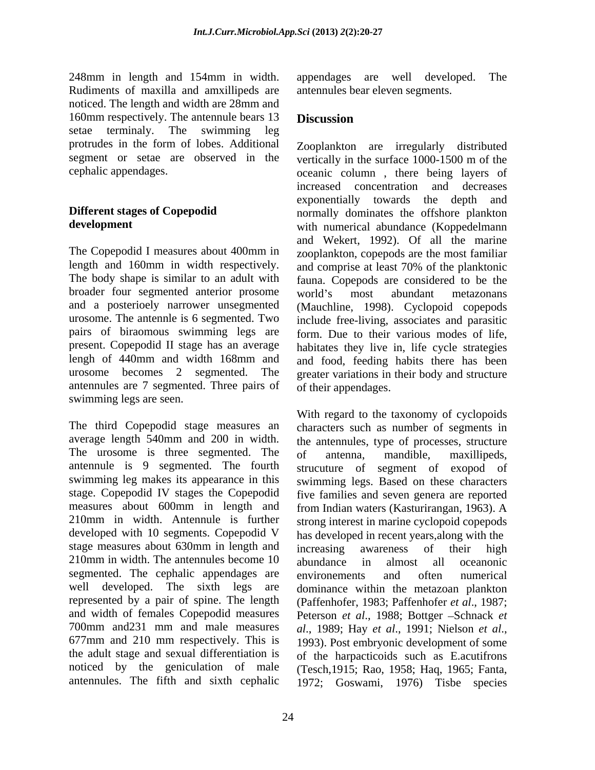248mm in length and 154mm in width. appendages are well developed. The Rudiments of maxilla and amxillipeds are noticed. The length and width are 28mm and 160mm respectively. The antennule bears 13 **Discussion** setae terminaly. The swimming leg protrudes in the form of lobes. Additional

The Copepodid I measures about 400mm in length and 160mm in width respectively. broader four segmented anterior prosome world's most abundant metazonans urosome. The antennle is 6 segmented. Two pairs of biraomous swimming legs are antennules are 7 segmented. Three pairs of swimming legs are seen.

The third Copepodid stage measures an characters such as number of segments in average length 540mm and 200 in width. the antennules, type of processes, structure The urosome is three segmented. The of antenna, mandible, maxillipeds, antennule is 9 segmented. The fourth strucuture of segment of exopod of swimming leg makes its appearance in this swimming legs. Based on these characters stage. Copepodid IV stages the Copepodid five families and seven genera are reported measures about 600mm in length and from Indian waters (Kasturirangan, 1963). A 210mm in width. Antennule is further strong interest in marine cyclopoid copepods developed with 10 segments. Copepodid V has developed in recent years,along with the stage measures about 630mm in length and increasing awareness of their high 210mm in width. The antennules become 10 abundance in almost all oceanonic segmented. The cephalic appendages are environements and often numerical well developed. The sixth legs are dominance within the metazoan plankton represented by a pair of spine. The length (Paffenhofer, 1983; Paffenhofer *et al*., 1987; and width of females Copepodid measures Peterson *et al.*, 1988; Bottger -Schnack *et* 700mm and 231 mm and male measures  $al.$ , 1989; Hay et al., 1991; Nielson et al., 677mm and 210 mm respectively. This is 1993). Post embryonic development of some the adult stage and sexual differentiation is of the harpacticoids such as E.acutifrons noticed by the geniculation of male (Tesch,1915; Rao, 1958; Haq, 1965; Fanta,

appendages are well developed. antennules bear eleven segments.

### **Discussion**

segment or setae are observed in the vertically in the surface 1000-1500 m of the cephalic appendages. oceanic column , there being layers of **Different stages of Copepodid**  normally dominates the offshore plankton **development** with numerical abundance (Koppedelmann The body shape is similar to an adult with fauna. Copepods are considered to be the and a posterioely narrower unsegmented (Mauchline, 1998). Cyclopoid copepods present. Copepodid II stage has an average habitates they live in, life cycle strategies lengh of 440mm and width 168mm and and food, feeding habits there has been urosome becomes 2 segmented. The greater variations in their body and structure Zooplankton are irregularly distributed increased concentration and decreases exponentially towards the depth and and Wekert, 1992). Of all the marine zooplankton, copepods are the most familiar and comprise at least 70% of the planktonic world's most abundant metazonans include free-living, associates and parasitic form. Due to their various modes of life, of their appendages.

antennules. The fifth and sixth cephalic 1972; Goswami, 1976) Tisbe speciesWith regard to the taxonomy of cyclopoids of antenna, mandible, maxillipeds, increasing awareness of their high abundance in almost all oceanonic environements and often numerical *al*., 1989; Hay *et al*., 1991; Nielson *et al*., 1993). Post embryonic development of some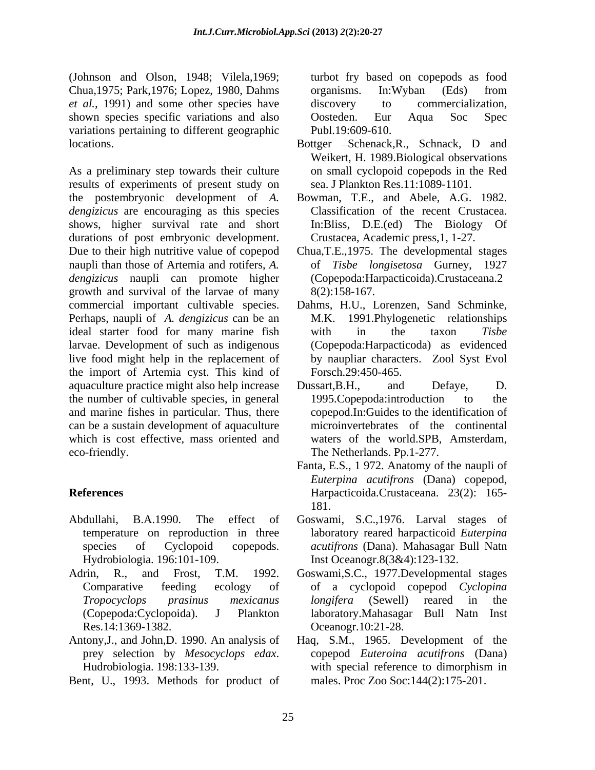(Johnson and Olson, 1948; Vilela,1969; Chua,1975; Park,1976; Lopez, 1980, Dahms *et al.,* 1991) and some other species have shown species specific variations and also Oosteden. Eur Aqua Soc Spec variations pertaining to different geographic locations. Bottger – Schenack, R., Schnack, D and

As a preliminary step towards their culture results of experiments of present study on the postembryonic development of *A. dengizicus* are encouraging as this species shows, higher survival rate and short durations of post embryonic development. Due to their high nutritive value of copepod Chua,T.E.,1975. The developmental stages naupli than those of Artemia and rotifers, *A.*  of *Tisbe longisetosa* Gurney, 1927 *dengizicus* naupli can promote higher growth and survival of the larvae of many commercial important cultivable species. Dahms, H.U., Lorenzen, Sand Schminke, Perhaps, naupli of *A. dengizicus* can be an ideal starter food for many marine fish with in the taxon Tisbe larvae. Development of such as indigenous live food might help in the replacement of the import of Artemia cyst. This kind of aquaculture practice might also help increase Dussart, B.H., and Defaye, D. the number of cultivable species, in general 1995. Copepoda: introduction to the and marine fishes in particular. Thus, there can be a sustain development of aquaculture which is cost effective, mass oriented and eco-friendly. The Netherlands. Pp.1-277.

- temperature on reproduction in three
- 
- 
- Bent, U., 1993. Methods for product of

turbot fry based on copepods as food organisms. In:Wyban (Eds) from discovery to commercialization, Oosteden. Eur Aqua Soc Spec Publ.19:609-610.

- Weikert, H. 1989.Biological observations on small cyclopoid copepods in the Red sea. J Plankton Res.11:1089-1101.
- Bowman, T.E., and Abele, A.G. 1982. Classification of the recent Crustacea. In:Bliss, D.E.(ed) The Biology Of Crustacea, Academic press,1, 1-27.
- (Copepoda:Harpacticoida).Crustaceana.2 8(2):158-167.
- 1991.Phylogenetic relationships with in the taxon *Tisbe* (Copepoda:Harpacticoda) as evidenced by naupliar characters. Zool Syst Evol Forsch.29:450-465.
- Dussart,B.H., and Defaye, D. 1995.Copepoda:introduction to the copepod.In:Guides to the identification of microinvertebrates of the continental waters of the world.SPB, Amsterdam,
- **References**  Harpacticoida.Crustaceana. 23(2): 165- Fanta, E.S., 1 972. Anatomy of the naupli of *Euterpina acutifrons* (Dana) copepod, 181.
- Abdullahi, B.A.1990. The effect of Goswami, S.C.,1976. Larval stages of species of Cyclopoid copepods. *acutifrons* (Dana). Mahasagar Bull Natn Hydrobiologia. 196:101-109. Inst Oceanogr.8(3&4):123-132. laboratory reared harpacticoid *Euterpina*
- Adrin, R., and Frost, T.M. 1992. Goswami,S.C., 1977.Developmental stages Comparative feeding ecology of of a cyclopoid copepod *Cyclopina Tropocyclops prasinus mexicanus* (Copepoda:Cyclopoida). J Plankton laboratory.Mahasagar Bull Natn Inst Res.14:1369-1382. Oceanogr.10:21-28. *longifera* (Sewell) reared in the
- Antony,J., and John,D. 1990. An analysis of Haq, S.M., 1965. Development of the prey selection by *Mesocyclops edax*. Hudrobiologia. 198:133-139. copepod *Euteroina acutifrons* (Dana) with special reference to dimorphism in males. Proc Zoo Soc:144(2):175-201.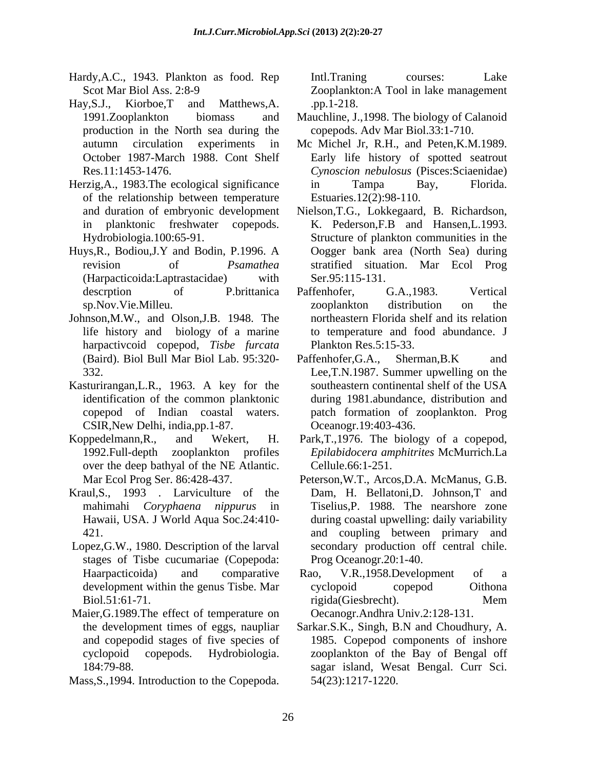- Hardy, A.C., 1943. Plankton as food. Rep Intl. Traning courses: Lake
- Hay,S.J., Kiorboe,T and Matthews,A. production in the North sea during the
- Herzig, A., 1983. The ecological significance in Tampa Bay, Florida. of the relationship between temperature
- Huys,R., Bodiou,J.Y and Bodin, P.1996. A (Harpacticoida:Laptrastacidae) with
- Johnson,M.W., and Olson,J.B. 1948. The harpactivcoid copepod, *Tisbe furcata*
- Kasturirangan, L.R., 1963. A key for the southeastern continental shelf of the USA CSIR,New Delhi, india,pp.1-87.
- Koppedelmann,R., and Wekert, H. Park,T.,1976. The biology of a copepod, over the deep bathyal of the NE Atlantic.
- Kraul,S., 1993 . Larviculture of the Dam, H. Bellatoni,D. Johnson,T and
- Lopez,G.W., 1980. Description of the larval stages of Tisbe cucumariae (Copepoda:
- Maier, G.1989. The effect of temperature on the development times of eggs, naupliar
- Mass,S.,1994. Introduction to the Copepoda.

Scot Mar Biol Ass. 2:8-9 Zooplankton:A Tool in lake management Intl.Traning courses: Lake .pp.1-218.

- 1991.Zooplankton biomass and Mauchline, J.,1998. The biology of Calanoid copepods. Adv Mar Biol.33:1-710.
- autumn circulation experiments in Mc Michel Jr, R.H., and Peten,K.M.1989. October 1987-March 1988. Cont Shelf Early life history of spotted seatrout Res.11:1453-1476. *Cynoscion nebulosus* (Pisces:Sciaenidae) in Tampa Bay, Florida. Estuaries.12(2):98-110.
- and duration of embryonic development Nielson,T.G., Lokkegaard, B. Richardson, in planktonic freshwater copepods. K. Pederson,F.B and Hansen,L.1993. Hydrobiologia.100:65-91. Structure of plankton communities in the revision of *Psamathea* stratified situation. Mar Ecol Prog Oogger bank area (North Sea) during Ser.95:115-131.
- descrption of P.brittanica Paffenhofer, G.A.,1983. Vertical sp.Nov.Vie.Milleu. 200plankton distribution on the life history and biology of a marine to temperature and food abundance. J Paffenhofer, G.A.,1983. Vertical zooplankton distribution on the northeastern Florida shelf and its relation Plankton Res.5:15-33.
- (Baird). Biol Bull Mar Biol Lab. 95:320- Paffenhofer, G.A., Sherman, B.K and 332. Lee,T.N.1987. Summer upwelling on the identification of the common planktonic during 1981.abundance, distribution and copepod of Indian coastal waters. patch formation of zooplankton. Prog Paffenhofer, G.A., Sherman, B.K and southeastern continental shelf of the USA Oceanogr.19:403-436.
- 1992.Full-depth zooplankton profiles *Epilabidocera amphitrites* McMurrich.La Cellule.66:1-251.
- Mar Ecol Prog Ser. 86:428-437. Peterson,W.T., Arcos,D.A. McManus, G.B. mahimahi *Coryphaena nippurus* in Tiselius,P. 1988. The nearshore zone Hawaii, USA. J World Aqua Soc.24:410- during coastal upwelling: daily variability 421. and coupling between primary and secondary production off central chile. Prog Oceanogr.20:1-40.
- Haarpacticoida) and comparative Rao, V.R., 1958. Development of a development within the genus Tisbe. Mar cyclopoid copepod Oithona Biol.51:61-71. Mem Rao, V.R.,1958.Development of a cyclopoid copepod Oithona rigida(Giesbrecht). Mem Oecanogr.Andhra Univ.2:128-131.
- the development times of eggs, naupliar Sarkar.S.K., Singh, B.N and Choudhury, A. and copepodid stages of five species of 1985. Copepod components of inshore cyclopoid copepods. Hydrobiologia. zooplankton of the Bay of Bengal off 184:79-88. sagar island, Wesat Bengal. Curr Sci. 54(23):1217-1220.